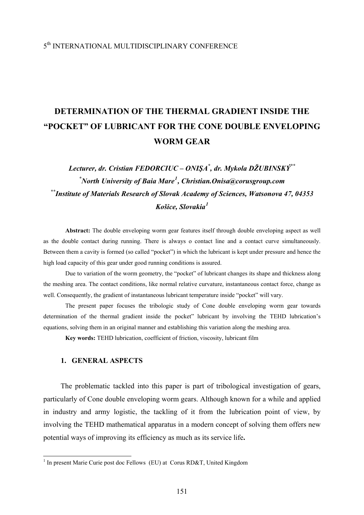# 5th INTERNATIONAL MULTIDISCIPLINARY CONFERENCE

# **DETERMINATION OF THE THERMAL GRADIENT INSIDE THE "POCKET" OF LUBRICANT FOR THE CONE DOUBLE ENVELOPING WORM GEAR**

*Lecturer, dr. Cristian FEDORCIUC – ONIŞA\* , dr. Mykola DŽUBINSKÝ\*\* \* North University of Baia Mare[1](#page-0-0) , Christian.Onisa@corusgroup.com \*\*Institute of Materials Research of Slovak Academy of Sciences, Watsonova 47, 04353 Košice, Slovakia[1](#page-0-1)*

**Abstract:** The double enveloping worm gear features itself through double enveloping aspect as well as the double contact during running. There is always o contact line and a contact curve simultaneously. Between them a cavity is formed (so called "pocket") in which the lubricant is kept under pressure and hence the high load capacity of this gear under good running conditions is assured.

Due to variation of the worm geometry, the "pocket" of lubricant changes its shape and thickness along the meshing area. The contact conditions, like normal relative curvature, instantaneous contact force, change as well. Consequently, the gradient of instantaneous lubricant temperature inside "pocket" will vary.

The present paper focuses the tribologic study of Cone double enveloping worm gear towards determination of the thermal gradient inside the pocket" lubricant by involving the TEHD lubrication's equations, solving them in an original manner and establishing this variation along the meshing area.

**Key words:** TEHD lubrication, coefficient of friction, viscosity, lubricant film

### **1. GENERAL ASPECTS**

The problematic tackled into this paper is part of tribological investigation of gears, particularly of Cone double enveloping worm gears. Although known for a while and applied in industry and army logistic, the tackling of it from the lubrication point of view, by involving the TEHD mathematical apparatus in a modern concept of solving them offers new potential ways of improving its efficiency as much as its service life**.** 

<span id="page-0-1"></span><span id="page-0-0"></span><sup>&</sup>lt;sup>1</sup> In present Marie Curie post doc Fellows (EU) at Corus RD&T, United Kingdom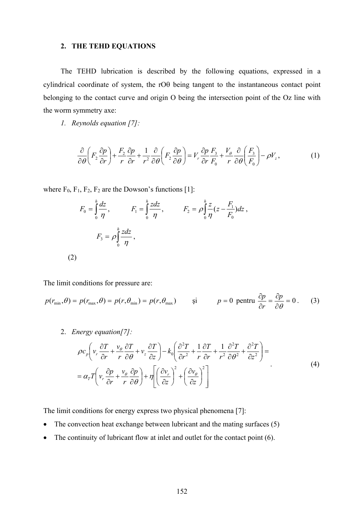#### **2. THE TEHD EQUATIONS**

The TEHD lubrication is described by the following equations, expressed in a cylindrical coordinate of system, the rOθ being tangent to the instantaneous contact point belonging to the contact curve and origin O being the intersection point of the Oz line with the worm symmetry axe:

*1. Reynolds equation [7]:* 

$$
\frac{\partial}{\partial \theta} \left( F_2 \frac{\partial p}{\partial r} \right) + \frac{F_2}{r} \frac{\partial p}{\partial r} + \frac{1}{r^2} \frac{\partial}{\partial \theta} \left( F_2 \frac{\partial p}{\partial \theta} \right) = V_r \frac{\partial p}{\partial r} \frac{F_3}{F_0} + \frac{V_\theta}{r} \frac{\partial}{\partial \theta} \left( \frac{F_3}{F_0} \right) - \rho V_z, \tag{1}
$$

where  $F_0$ ,  $F_1$ ,  $F_2$ ,  $F_2$  are the Dowson's functions [1]:

$$
F_0 = \int_0^h \frac{dz}{\eta}, \qquad F_1 = \int_0^h \frac{zdz}{\eta}, \qquad F_2 = \rho \int_0^h \frac{z}{\eta} (z - \frac{F_1}{F_0}) dz,
$$
  

$$
F_3 = \rho \int_0^h \frac{zdz}{\eta},
$$
  
(2)

The limit conditions for pressure are:

$$
p(r_{\min}, \theta) = p(r_{\max}, \theta) = p(r, \theta_{\min}) = p(r, \theta_{\max}) \qquad \text{si} \qquad p = 0 \text{ pentru } \frac{\partial p}{\partial r} = \frac{\partial p}{\partial \theta} = 0. \tag{3}
$$

2. *Energy equation[7]:*

$$
\rho c_p \left( v_r \frac{\partial T}{\partial r} + \frac{v_\theta}{r} \frac{\partial T}{\partial \theta} + v_z \frac{\partial T}{\partial z} \right) - k_0 \left( \frac{\partial^2 T}{\partial r^2} + \frac{1}{r} \frac{\partial T}{\partial r} + \frac{1}{r^2} \frac{\partial^2 T}{\partial \theta^2} + \frac{\partial^2 T}{\partial z^2} \right) =
$$
\n
$$
= \alpha_r T \left( v_r \frac{\partial p}{\partial r} + \frac{v_\theta}{r} \frac{\partial p}{\partial \theta} \right) + \eta \left[ \left( \frac{\partial v_r}{\partial z} \right)^2 + \left( \frac{\partial v_\theta}{\partial z} \right)^2 \right] \tag{4}
$$

The limit conditions for energy express two physical phenomena [7]:

- The convection heat exchange between lubricant and the mating surfaces (5)
- The continuity of lubricant flow at inlet and outlet for the contact point (6).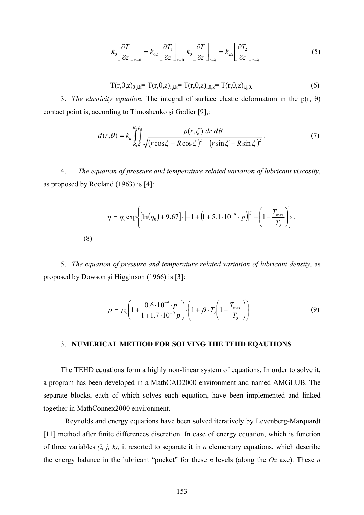$$
k_0 \left[ \frac{\partial T}{\partial z} \right]_{z=0} = k_{OL} \left[ \frac{\partial T_1}{\partial z} \right]_{z=0} k_0 \left[ \frac{\partial T}{\partial z} \right]_{z=h} = k_{Bz} \left[ \frac{\partial T_2}{\partial z} \right]_{z=h}
$$
(5)

$$
T(r,\theta,z)_{0,j,k} = T(r,\theta,z)_{i,j,k} = T(r,\theta,z)_{i,0,k} = T(r,\theta,z)_{i,j,0} \tag{6}
$$

3. *The elasticity equation.* The integral of surface elastic deformation in the p(r, θ) contact point is, according to Timoshenko şi Godier [9],:

$$
d(r,\theta) = k_d \int_{R_1 \zeta_1}^{R_n \zeta_n} \frac{p(r,\zeta) dr d\theta}{\sqrt{(r \cos \zeta - R \cos \zeta)^2 + (r \sin \zeta - R \sin \zeta)^2}}.
$$
(7)

4. *The equation of pressure and temperature related variation of lubricant viscosity*, as proposed by Roeland (1963) is [4]:

$$
\eta = \eta_0 \exp\left\{ \left[ \ln(\eta_0) + 9.67 \right] \cdot \left[ -1 + \left( 1 + 5.1 \cdot 10^{-9} \cdot p \right) \right]^2 + \left( 1 - \frac{T_{\text{max}}}{T_0} \right) \right\}.
$$
\n(8)

5. *The equation of pressure and temperature related variation of lubricant density,* as proposed by Dowson şi Higginson (1966) is [3]:

(8)

$$
\rho = \rho_0 \left( 1 + \frac{0.6 \cdot 10^{-9} \cdot p}{1 + 1.7 \cdot 10^{-9} p} \right) \cdot \left( 1 + \beta \cdot T_0 \left( 1 - \frac{T_{\text{max}}}{T_0} \right) \right) \tag{9}
$$

### 3. **NUMERICAL METHOD FOR SOLVING THE TEHD EQAUTIONS**

The TEHD equations form a highly non-linear system of equations. In order to solve it, a program has been developed in a MathCAD2000 environment and named AMGLUB. The separate blocks, each of which solves each equation, have been implemented and linked together in MathConnex2000 environment.

Reynolds and energy equations have been solved iteratively by Levenberg-Marquardt [11] method after finite differences discretion. In case of energy equation, which is function of three variables *(i, j, k),* it resorted to separate it in *n* elementary equations, which describe the energy balance in the lubricant "pocket" for these *n* levels (along the *Oz* axe). These *n*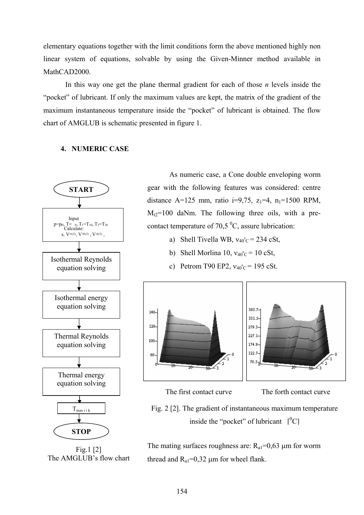elementary equations together with the limit conditions form the above mentioned highly non linear system of equations, solvable by using the Given-Minner method available in MathCAD<sub>2000</sub>.

In this way one get the plane thermal gradient for each of those *n* levels inside the "pocket" of lubricant. If only the maximum values are kept, the matrix of the gradient of the maximum instantaneous temperature inside the "pocket" of lubricant is obtained. The flow chart of AMGLUB is schematic presented in figure 1.

## **4. NUMERIC CASE**



Fig.1 [2] The AMGLUB's flow chart

As numeric case, a Cone double enveloping worm gear with the following features was considered: centre distance A=125 mm, ratio i=9,75,  $z_1$ =4,  $n_1$ =1500 RPM,  $M_12=100$  daNm. The following three oils, with a precontact temperature of 70,5  $\mathrm{^0C}$ , assure lubrication:

- a) Shell Tivella WB,  $v_{40}^{\circ}$  c = 234 cSt,
- b) Shell Morlina 10,  $v_{40}^{\circ}$  c = 10 cSt,
- c) Petrom T90 EP2,  $v_{40}^{\circ}$ c = 195 cSt.



The first contact curve The forth contact curve

Fig. 2 [2]. The gradient of instantaneous maximum temperature inside the "pocket" of lubricant  $\int_0^0 C$ ]

The mating surfaces roughness are:  $R_{a1} = 0.63 \mu m$  for worm thread and  $R_{a1} = 0.32 \mu m$  for wheel flank.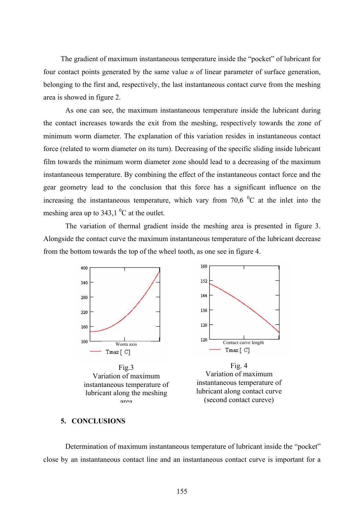The gradient of maximum instantaneous temperature inside the "pocket" of lubricant for four contact points generated by the same value *u* of linear parameter of surface generation, belonging to the first and, respectively, the last instantaneous contact curve from the meshing area is showed in figure 2.

 As one can see, the maximum instantaneous temperature inside the lubricant during the contact increases towards the exit from the meshing, respectively towards the zone of minimum worm diameter. The explanation of this variation resides in instantaneous contact force (related to worm diameter on its turn). Decreasing of the specific sliding inside lubricant film towards the minimum worm diameter zone should lead to a decreasing of the maximum instantaneous temperature. By combining the effect of the instantaneous contact force and the gear geometry lead to the conclusion that this force has a significant influence on the increasing the instantaneous temperature, which vary from 70,6  $\rm{^0C}$  at the inlet into the meshing area up to  $343,1\,^0$ C at the outlet.

 The variation of thermal gradient inside the meshing area is presented in figure 3. Alongside the contact curve the maximum instantaneous temperature of the lubricant decrease from the bottom towards the top of the wheel tooth, as one see in figure 4.



#### **5. CONCLUSIONS**

Determination of maximum instantaneous temperature of lubricant inside the "pocket" close by an instantaneous contact line and an instantaneous contact curve is important for a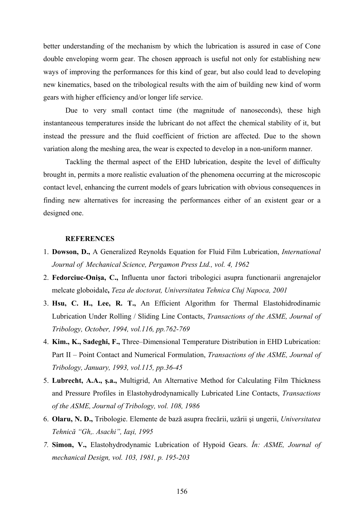better understanding of the mechanism by which the lubrication is assured in case of Cone double enveloping worm gear. The chosen approach is useful not only for establishing new ways of improving the performances for this kind of gear, but also could lead to developing new kinematics, based on the tribological results with the aim of building new kind of worm gears with higher efficiency and/or longer life service.

Due to very small contact time (the magnitude of nanoseconds), these high instantaneous temperatures inside the lubricant do not affect the chemical stability of it, but instead the pressure and the fluid coefficient of friction are affected. Due to the shown variation along the meshing area, the wear is expected to develop in a non-uniform manner.

Tackling the thermal aspect of the EHD lubrication, despite the level of difficulty brought in, permits a more realistic evaluation of the phenomena occurring at the microscopic contact level, enhancing the current models of gears lubrication with obvious consequences in finding new alternatives for increasing the performances either of an existent gear or a designed one.

#### **REFERENCES**

- 1. **Dowson, D.,** A Generalized Reynolds Equation for Fluid Film Lubrication, *International Journal of Mechanical Science, Pergamon Press Ltd., vol. 4, 1962*
- 2. **Fedorciuc-Onişa, C.,** Influenta unor factori tribologici asupra functionarii angrenajelor melcate globoidale**,** *Teza de doctorat, Universitatea Tehnica Cluj Napoca, 2001*
- 3. **Hsu, C. H., Lee, R. T.,** An Efficient Algorithm for Thermal Elastohidrodinamic Lubrication Under Rolling / Sliding Line Contacts, *Transactions of the ASME, Journal of Tribology, October, 1994, vol.116, pp.762-769*
- 4. **Kim., K., Sadeghi, F.,** Three–Dimensional Temperature Distribution in EHD Lubrication: Part II – Point Contact and Numerical Formulation, *Transactions of the ASME, Journal of Tribology, January, 1993, vol.115, pp.36-45*
- 5. **Lubrecht, A.A., ş.a.,** Multigrid, An Alternative Method for Calculating Film Thickness and Pressure Profiles in Elastohydrodynamically Lubricated Line Contacts, *Transactions of the ASME, Journal of Tribology, vol. 108, 1986*
- 6. **Olaru, N. D.,** Tribologie. Elemente de bază asupra frecării, uzării şi ungerii, *Universitatea Tehnică "Gh,. Asachi", Iaşi, 1995*
- *7.* **Simon, V.,** Elastohydrodynamic Lubrication of Hypoid Gears. *În: ASME, Journal of mechanical Design, vol. 103, 1981, p. 195-203*